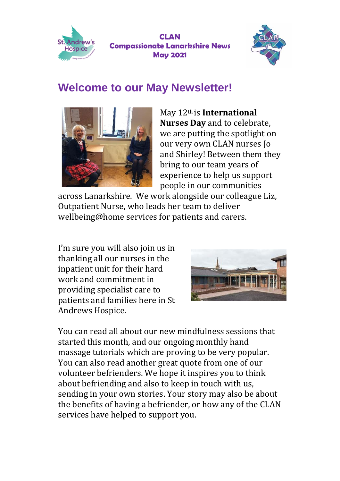



### **Welcome to our May Newsletter!**



May 12th is **International Nurses Day** and to celebrate, we are putting the spotlight on our very own CLAN nurses Jo and Shirley! Between them they bring to our team years of experience to help us support people in our communities

across Lanarkshire. We work alongside our colleague Liz, Outpatient Nurse, who leads her team to deliver wellbeing@home services for patients and carers.

I'm sure you will also join us in thanking all our nurses in the inpatient unit for their hard work and commitment in providing specialist care to patients and families here in St Andrews Hospice.



You can read all about our new mindfulness sessions that started this month, and our ongoing monthly hand massage tutorials which are proving to be very popular. You can also read another great quote from one of our volunteer befrienders. We hope it inspires you to think about befriending and also to keep in touch with us, sending in your own stories. Your story may also be about the benefits of having a befriender, or how any of the CLAN services have helped to support you.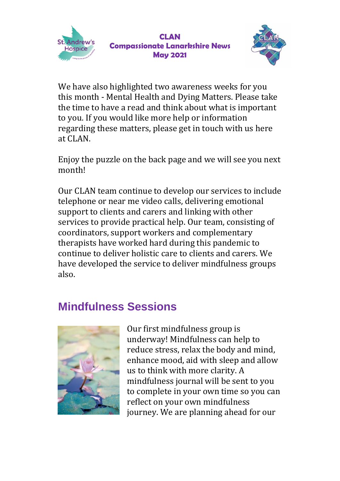



We have also highlighted two awareness weeks for you this month - Mental Health and Dying Matters. Please take the time to have a read and think about what is important to you. If you would like more help or information regarding these matters, please get in touch with us here at CLAN.

Enjoy the puzzle on the back page and we will see you next month!

Our CLAN team continue to develop our services to include telephone or near me video calls, delivering emotional support to clients and carers and linking with other services to provide practical help. Our team, consisting of coordinators, support workers and complementary therapists have worked hard during this pandemic to continue to deliver holistic care to clients and carers. We have developed the service to deliver mindfulness groups also.

### **Mindfulness Sessions**



Our first mindfulness group is underway! Mindfulness can help to reduce stress, relax the body and mind, enhance mood, aid with sleep and allow us to think with more clarity. A mindfulness journal will be sent to you to complete in your own time so you can reflect on your own mindfulness journey. We are planning ahead for our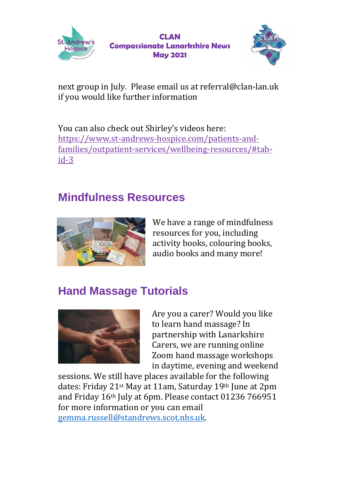



next group in July. Please email us at referral@clan-lan.uk if you would like further information

You can also check out Shirley's videos here: [https://www.st-andrews-hospice.com/patients-and](https://www.st-andrews-hospice.com/patients-and-families/outpatient-services/wellbeing-resources/#tab-id-3)[families/outpatient-services/wellbeing-resources/#tab](https://www.st-andrews-hospice.com/patients-and-families/outpatient-services/wellbeing-resources/#tab-id-3)[id-3](https://www.st-andrews-hospice.com/patients-and-families/outpatient-services/wellbeing-resources/#tab-id-3)

### **Mindfulness Resources**



We have a range of mindfulness resources for you, including activity books, colouring books, audio books and many more!

## **Hand Massage Tutorials**



Are you a carer? Would you like to learn hand massage? In partnership with Lanarkshire Carers, we are running online Zoom hand massage workshops in daytime, evening and weekend

sessions. We still have places available for the following dates: Friday 21st May at 11am, Saturday 19th June at 2pm and Friday 16th July at 6pm. Please contact 01236 766951 for more information or you can email [gemma.russell@standrews.scot.nhs.uk.](mailto:gemma.russell@standrews.scot.nhs.uk)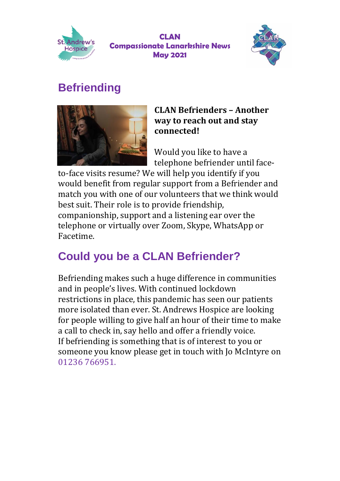



## **Befriending**



#### **CLAN Befrienders – Another way to reach out and stay connected!**

Would you like to have a telephone befriender until face-

to-face visits resume? We will help you identify if you would benefit from regular support from a Befriender and match you with one of our volunteers that we think would best suit. Their role is to provide friendship, companionship, support and a listening ear over the telephone or virtually over Zoom, Skype, WhatsApp or Facetime.

# **Could you be a CLAN Befriender?**

Befriending makes such a huge difference in communities and in people's lives. With continued lockdown restrictions in place, this pandemic has seen our patients more isolated than ever. St. Andrews Hospice are looking for people willing to give half an hour of their time to make a call to check in, say hello and offer a friendly voice. If befriending is something that is of interest to you or someone you know please get in touch with Jo McIntyre on 01236 766951.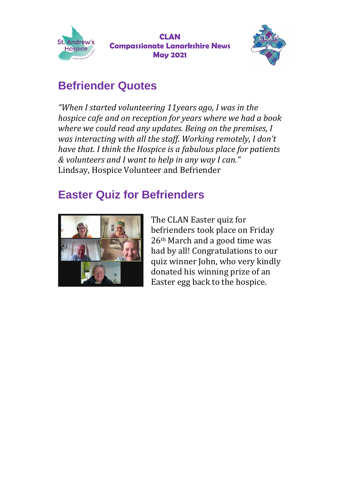

**CLAN Compassionate Lanarkshire News May 2021**



## **Befriender Quotes**

*"When I started volunteering 11years ago, I was in the hospice cafe and on reception for years where we had a book where we could read any updates. Being on the premises, I was interacting with all the staff. Working remotely, I don't have that. I think the Hospice is a fabulous place for patients & volunteers and I want to help in any way I can."* Lindsay, Hospice Volunteer and Befriender

### **Easter Quiz for Befrienders**



The CLAN Easter quiz for befrienders took place on Friday 26th March and a good time was had by all! Congratulations to our quiz winner John, who very kindly donated his winning prize of an Easter egg back to the hospice.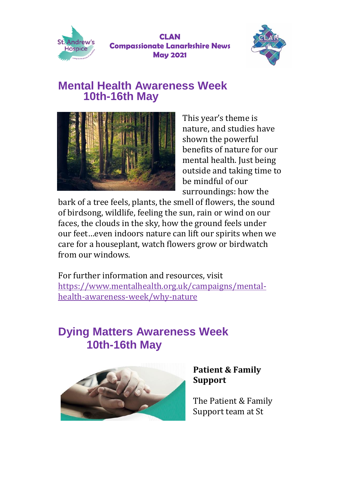

**CLAN Compassionate Lanarkshire News May 2021**



#### **Mental Health Awareness Week 10th-16th May**



This year's theme is nature, and studies have shown the powerful benefits of nature for our mental health. Just being outside and taking time to be mindful of our surroundings: how the

bark of a tree feels, plants, the smell of flowers, the sound of birdsong, wildlife, feeling the sun, rain or wind on our faces, the clouds in the sky, how the ground feels under our feet…even indoors nature can lift our spirits when we care for a houseplant, watch flowers grow or birdwatch from our windows.

For further information and resources, visit [https://www.mentalhealth.org.uk/campaigns/mental](https://www.mentalhealth.org.uk/campaigns/mental-health-awareness-week/why-nature)[health-awareness-week/why-nature](https://www.mentalhealth.org.uk/campaigns/mental-health-awareness-week/why-nature)

## **Dying Matters Awareness Week 10th-16th May**



#### **Patient & Family Support**

The Patient & Family Support team at St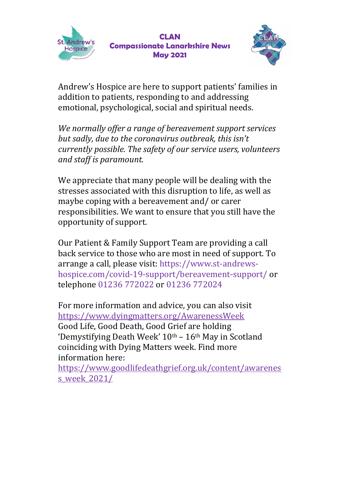



Andrew's Hospice are here to support patients' families in addition to patients, responding to and addressing emotional, psychological, social and spiritual needs.

*We normally offer a range of bereavement support services but sadly, due to the coronavirus outbreak, this isn't currently possible. The safety of our service users, volunteers and staff is paramount.*

We appreciate that many people will be dealing with the stresses associated with this disruption to life, as well as maybe coping with a bereavement and/ or carer responsibilities. We want to ensure that you still have the opportunity of support.

Our Patient & Family Support Team are providing a call back service to those who are most in need of support. To arrange a call, please visit[: https://www.st-andrews](https://www.st-andrews-hospice.com/covid-19-support/bereavement-support/)[hospice.com/covid-19-support/bereavement-support/](https://www.st-andrews-hospice.com/covid-19-support/bereavement-support/) or telephone 01236 772022 or 01236 772024

For more information and advice, you can also visit <https://www.dyingmatters.org/AwarenessWeek> Good Life, Good Death, Good Grief are holding 'Demystifying Death Week'  $10<sup>th</sup> - 16<sup>th</sup>$  May in Scotland coinciding with Dying Matters week. Find more information here:

[https://www.goodlifedeathgrief.org.uk/content/awarenes](https://www.goodlifedeathgrief.org.uk/content/awareness_week_2021/) [s\\_week\\_2021/](https://www.goodlifedeathgrief.org.uk/content/awareness_week_2021/)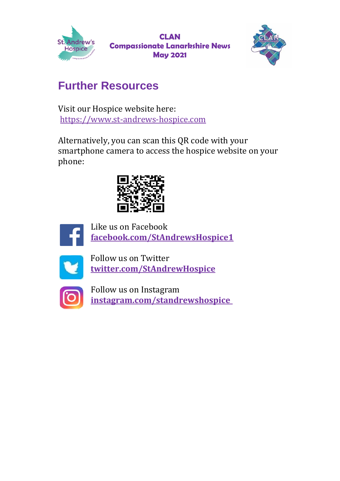



## **Further Resources**

Visit our Hospice website here: [https://www.st-andrews-hospice.com](https://www.st-andrews-hospice.com/)

Alternatively, you can scan this QR code with your smartphone camera to access the hospice website on your phone:





Like us on Facebook **[facebook.com/StAndrewsHospice1](http://facebook.com/StAndrewsHospice1)**



Follow us on Twitter **[twitter.com/StAndrewHospice](http://twitter.com/StAndrewHospice)**



Follow us on Instagram **[instagram.com/standrewshospice](http://instagram.com/standrewshospice)**